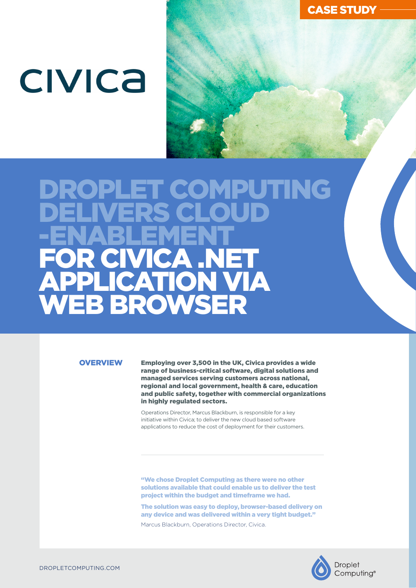# **CIVICA**

## ET COMPUTING DELIVERS CLOUD -ENABLEMENT FOR CIVICA .NET APPLICATION VIA WEB BROWSER

#### **OVERVIEW**

Employing over 3,500 in the UK, Civica provides a wide range of business-critical software, digital solutions and managed services serving customers across national, regional and local government, health & care, education and public safety, together with commercial organizations in highly regulated sectors.

Operations Director, Marcus Blackburn, is responsible for a key initiative within Civica; to deliver the new cloud based software applications to reduce the cost of deployment for their customers.

"We chose Droplet Computing as there were no other solutions available that could enable us to deliver the test project within the budget and timeframe we had.

The solution was easy to deploy, browser-based delivery on any device and was delivered within a very tight budget."

Marcus Blackburn, Operations Director, Civica.